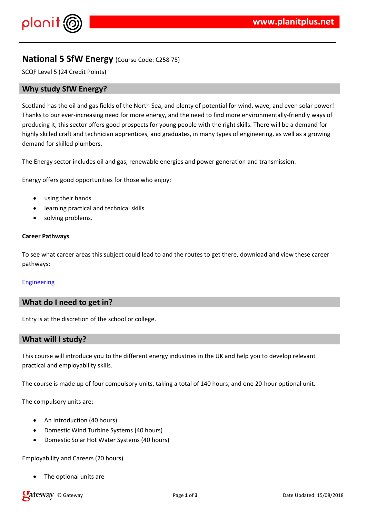$\frac{1}{2}$  # \$ % % &

 $/8$  $-$  % # #  $\qquad$  #  $/1$  0

 $2 &$ & % % ( & 3

> %& (% (& # & % & & %' '# & %% ### #"%&  $1# / 0$

,  $($   $)$   $13\%$   $\#$  &  $($   $)$   $\frac{1}{2}\%$   $($   $)$   $\frac{1}{2}\%$   $($   $)$   $\frac{1}{2}\%$   $($   $)$   $\frac{1}{2}\%$   $($   $)$   $\frac{1}{2}\%$   $($   $)$   $\frac{1}{2}\%$   $($   $)$   $\frac{1}{2}\%$   $($   $)$   $\frac{1}{2}\%$   $($   $)$   $\frac{1}{2}\%$   $($   $)$   $\frac{1}{2}\%$   $($   $)$ 

2 & % & % &

2 & % ( % '' ( %# & # # ( 0

%&%%&("#&##&

 $1, ($   $\frac{1}{2}$   $\frac{1}{2}$   $\frac{1}{2}$   $\frac{1}{2}$   $\frac{1}{2}$   $\frac{1}{2}$   $\frac{1}{2}$   $\frac{1}{2}$   $\frac{1}{2}$   $\frac{1}{2}$   $\frac{1}{2}$   $\frac{1}{2}$   $\frac{1}{2}$   $\frac{1}{2}$   $\frac{1}{2}$   $\frac{1}{2}$   $\frac{1}{2}$   $\frac{1}{2}$   $\frac{1}{2}$   $\frac{1}{2}$   $\frac{1}{2}$   $\frac{1$ 

 $(')$  #  $\&\%$ 

5868 %8\$  $1\%$ ' 7% & , 1% & \$ ( /  $/$  %' # 8 7 / \$

 $2/$  #  $1\%$  # % & (

 $, ($  % &&  $\frac{20}{10}$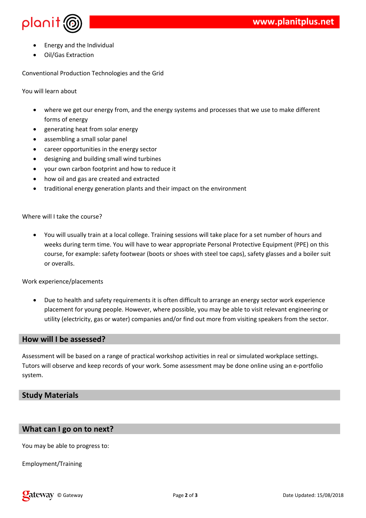

- Energy and the Individual
- Oil/Gas Extraction

Conventional Production Technologies and the Grid

You will learn about

- where we get our energy from, and the energy systems and processes that we use to make different forms of energy
- generating heat from solar energy
- assembling a small solar panel
- career opportunities in the energy sector
- designing and building small wind turbines
- your own carbon footprint and how to reduce it
- how oil and gas are created and extracted
- traditional energy generation plants and their impact on the environment

Where will I take the course?

 You will usually train at a local college. Training sessions will take place for a set number of hours and weeks during term time. You will have to wear appropriate Personal Protective Equipment (PPE) on this course, for example: safety footwear (boots or shoes with steel toe caps), safety glasses and a boiler suit or overalls.

Work experience/placements

 Due to health and safety requirements it is often difficult to arrange an energy sector work experience placement for young people. However, where possible, you may be able to visit relevant engineering or utility (electricity, gas or water) companies and/or find out more from visiting speakers from the sector.

## **How will I be assessed?**

Assessment will be based on a range of practical workshop activities in real or simulated workplace settings. Tutors will observe and keep records of your work. Some assessment may be done online using an e-portfolio system.

## **Study Materials**

## **What can I go on to next?**

You may be able to progress to:

Employment/Training